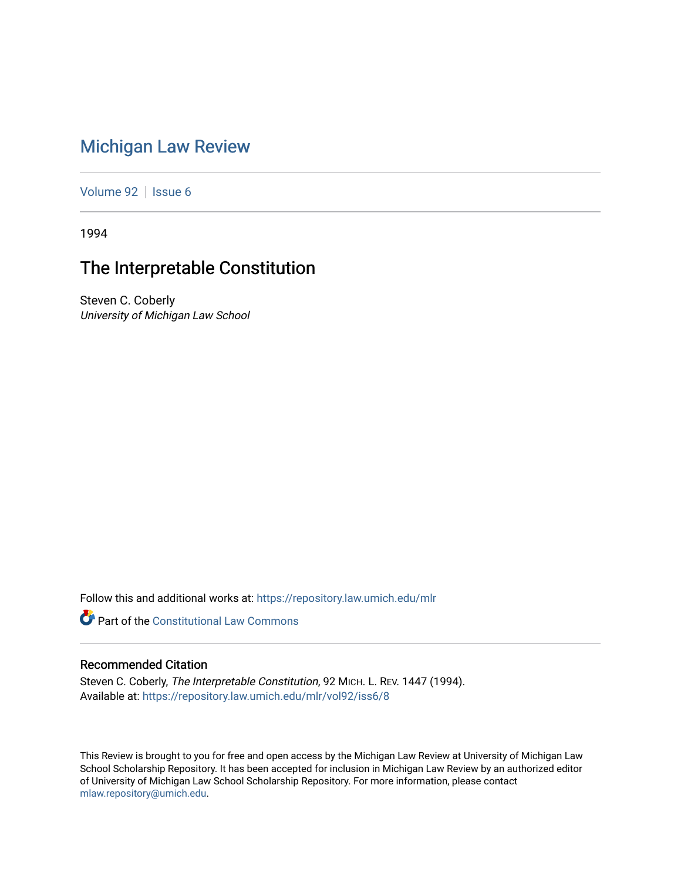## [Michigan Law Review](https://repository.law.umich.edu/mlr)

[Volume 92](https://repository.law.umich.edu/mlr/vol92) | [Issue 6](https://repository.law.umich.edu/mlr/vol92/iss6)

1994

## The Interpretable Constitution

Steven C. Coberly University of Michigan Law School

Follow this and additional works at: [https://repository.law.umich.edu/mlr](https://repository.law.umich.edu/mlr?utm_source=repository.law.umich.edu%2Fmlr%2Fvol92%2Fiss6%2F8&utm_medium=PDF&utm_campaign=PDFCoverPages) 

**Part of the Constitutional Law Commons** 

## Recommended Citation

Steven C. Coberly, The Interpretable Constitution, 92 MICH. L. REV. 1447 (1994). Available at: [https://repository.law.umich.edu/mlr/vol92/iss6/8](https://repository.law.umich.edu/mlr/vol92/iss6/8?utm_source=repository.law.umich.edu%2Fmlr%2Fvol92%2Fiss6%2F8&utm_medium=PDF&utm_campaign=PDFCoverPages)

This Review is brought to you for free and open access by the Michigan Law Review at University of Michigan Law School Scholarship Repository. It has been accepted for inclusion in Michigan Law Review by an authorized editor of University of Michigan Law School Scholarship Repository. For more information, please contact [mlaw.repository@umich.edu.](mailto:mlaw.repository@umich.edu)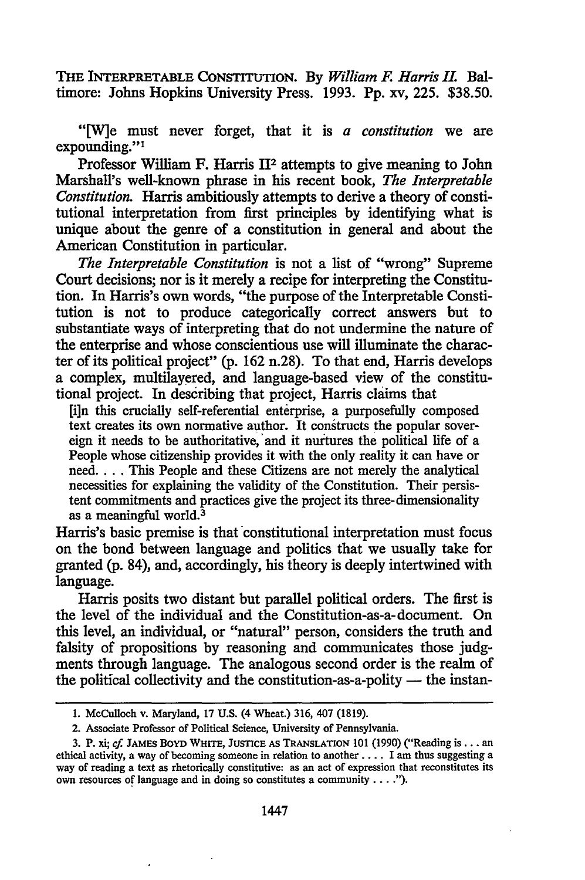THE INTERPRETABLE CONSTITUTION. By *William F. Harris II.* Baltimore: Johns Hopkins University Press. 1993. Pp. xv, 225. \$38.50.

"[W]e must never forget, that it is *a constitution* we are expounding."<sup>1</sup>

Professor William F. Harris 112 attempts to give meaning to John Marshall's well-known phrase in his recent book, *The Interpretable Constitution.* Harris ambitiously attempts to derive a theory of constitutional interpretation from first principles by identifying what is unique about the genre of a constitution in general and about the American Constitution in particular.

*The Interpretable Constitution* is not a list of "wrong" Supreme Court decisions; nor is it merely a recipe for interpreting the Constitution. In Harris's own words, "the purpose of the Interpretable Constitution is not to produce categorically correct answers but to substantiate ways of interpreting that do not undermine the nature of the enterprise and whose conscientious use will illuminate the character of its political project" (p. 162 n.28). To that end, Harris develops a complex, multilayered, and language-based view of the constitutional project. In describing that project, Harris claims that

[i]n this crucially self-referential enterprise, a purposefully composed text creates its own normative author. It constructs the popular sovereign it needs to be authoritative, and it nurtures the political life of a People whose citizenship provides it with the only reality it can have or need.... This People and these Citizens are not merely the analytical necessities for explaining the validity of the Constitution. Their persistent commitments and practices give the project its three-dimensionality as a meaningful world. $3$ 

Harris's basic premise is that constitutional interpretation must focus on the bond between language and politics that we usually take for granted (p. 84), and, accordingly, his theory is deeply intertwined with language.

Harris posits two distant but parallel political orders. The first is the level of the individual and the Constitution-as-a-document. On this level, an individual, or "natural" person, considers the truth and falsity of propositions by reasoning and communicates those judgments through language. The analogous second order is the realm of the political collectivity and the constitution-as-a-polity  $-$  the instan-

<sup>1.</sup> McCulloch v. Maryland, 17 U.S. (4 Wheat.) 316, 407 (1819).

<sup>2.</sup> Associate Professor of Political Science, University of Pennsylvania.

<sup>3.</sup> P. xi; *cf.* JAMES BOYD WHITE, JUSTICE AS TRANSLATION 101 (1990) ("Reading is .•. an ethical activity, a way of becoming someone in relation to another .•.. I am thus suggesting a way of reading a text as rhetorically constitutive: as an act of expression that reconstitutes its own resources of language and in doing so constitutes a community  $\dots$ .").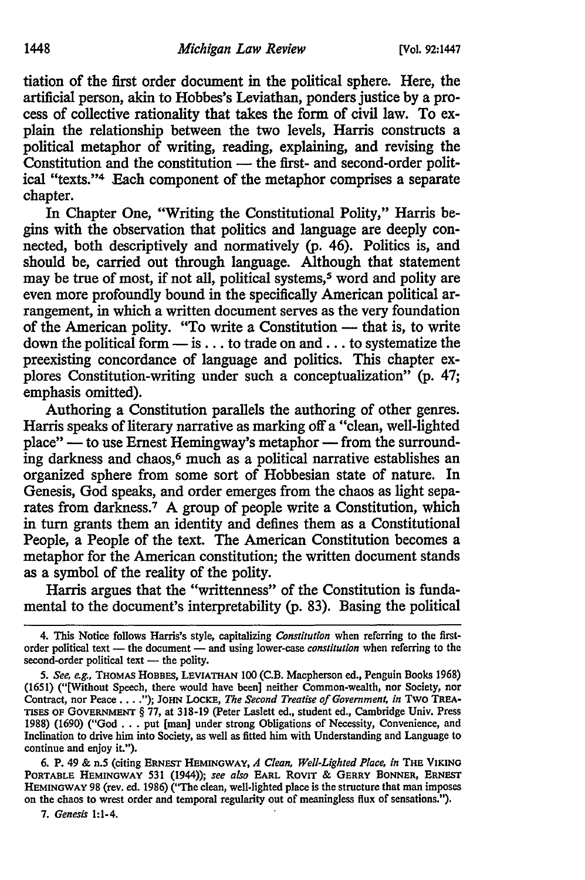tiation of the first order document in the political sphere. Here, the artificial person, akin to Hobbes's Leviathan, ponders justice by a process of collective rationality that takes the form of civil law. To explain the relationship between the two levels, Harris constructs a political metaphor of writing, reading, explaining, and revising the  $\frac{1}{2}$ Constitution and the constitution — the first- and second-order political "texts."4 Each component of the metaphor comprises a separate chapter.

In Chapter One, "Writing the Constitutional Polity," Harris begins with the observation that politics and language are deeply connected, both descriptively and normatively (p. 46). Politics is, and should be, carried out through language. Although that statement may be true of most, if not all, political systems,<sup>5</sup> word and polity are even more profoundly bound in the specifically American political arrangement, in which a written document serves as the very foundation of the American polity. "To write a Constitution - that is, to write down the political form  $\frac{1}{m}$  is ... to trade on and ... to systematize the preexisting concordance of language and politics. This chapter explores Constitution-writing under such a conceptualization" (p. 47; emphasis omitted).

Authoring a Constitution parallels the authoring of other genres. Harris speaks of literary narrative as marking off a "clean, well-lighted  $place''$  — to use Ernest Hemingway's metaphor — from the surrounding darkness and chaos,<sup>6</sup> much as a political narrative establishes an organized sphere from some sort of Hobbesian state of nature. In Genesis, God speaks, and order emerges from the chaos as light separates from darkness.7 A group of people write a Constitution, which in tum grants them an identity and defines them as a Constitutional People, a People of the text. The American Constitution becomes a metaphor for the American constitution; the written document stands as a symbol of the reality of the polity.

Harris argues that the "writtenness" of the Constitution is fundamental to the document's interpretability (p. 83). Basing the political

6. P. 49 & n.5 (citing ERNEST HEMINGWAY, *A Clean, Well-Lighted Place, in* THE VIKING PORTABLE HEMINGWAY 531 (1944)); *see also* EARL Rovrr & GERRY BONNER, ERNEST HEMINGWAY 98 (rev. ed. 1986) ("The clean, well-lighted place is the structure that man imposes on the chaos to wrest order and temporal regularity out of meaningless flux of sensations.").

7. *Genesis* 1:1-4.

<sup>4.</sup> This Notice follows Harris's style, capitalizing *Constitution* when referring to the firstorder political text - the document - and using lower-case *constitution* when referring to the second-order political text - the polity.

<sup>5.</sup> *See, e.g.,* THOMAS HOBBES, LEVIATHAN 100 (C.B. Macpherson ed., Penguin Books 1968) (1651) ("[Without Speech, there would have been] neither Common-wealth, nor Society, nor Contract, nor Peace ..•. "); JOHN LoCKE, *The Second Treatise of Government, in* Two TREA· TISES OF GOVERNMENT§ 77, at 318-19 (Peter Laslett ed., student ed., Cambridge Univ. Press TISES OF GOVERNMENT 8 11, at 318-19 (Peter Lastett ed., student ed., Camoriage Univ. Press<br>1988) (1690) ("God . . . put [man] under strong Obligations of Necessity, Convenience, and<br>Inclination to drive him into Society, a continue and enjoy it.").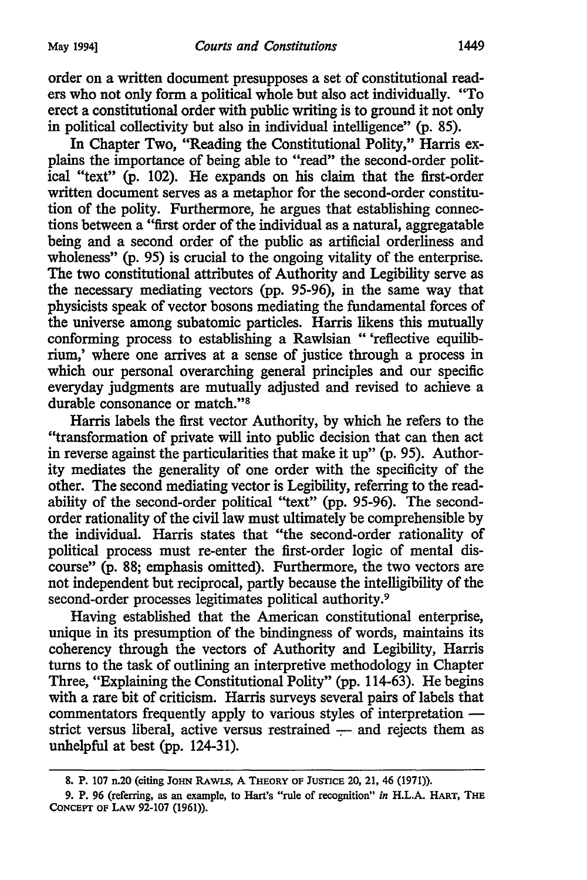In Chapter Two, "Reading the Constitutional Polity," Harris explains the importance of being able to "read" the second-order political "text" (p. 102). He expands on his claim that the first-order written document serves as a metaphor for the second-order constitution of the polity. Furthermore, he argues that establishing connections between a "first order of the individual as a natural, aggregatable being and a second order of the public as artificial orderliness and wholeness" (p. 95) is crucial to the ongoing vitality of the enterprise. The two constitutional attributes of Authority and Legibility serve as the necessary mediating vectors (pp. 95-96), in the same way that physicists speak of vector bosons mediating the fundamental forces of the universe among subatomic particles. Harris likens this mutually conforming process to establishing a Rawlsian " 'reflective equilibrium,' where one arrives at a sense of justice through a process in which our personal overarching general principles and our specific everyday judgments are mutually adjusted and revised to achieve a durable consonance or match."8

Harris labels the first vector Authority, by which he refers to the "transformation of private will into public decision that can then act in reverse against the particularities that make it up" (p. 95). Authority mediates the generality of one order with the specificity of the other. The second mediating vector is Legibility, referring to the readability of the second-order political "text" (pp. 95-96). The secondorder rationality of the civil law must ultimately be comprehensible by the individual. Harris states that "the second-order rationality of political process must re-enter the first-order logic of mental discourse" (p. 88; emphasis omitted). Furthermore, the two vectors are not independent but reciprocal, partly because the intelligibility of the second-order processes legitimates political authority.<sup>9</sup>

Having established that the American constitutional enterprise, unique in its presumption of the bindingness of words, maintains its coherency through the vectors of Authority and Legibility, Harris turns to the task of outlining an interpretive methodology in Chapter Three, "Explaining the Constitutional Polity" (pp. 114-63). He begins with a rare bit of criticism. Harris surveys several pairs of labels that commentators frequently apply to various styles of interpretation strict versus liberal, active versus restrained - and rejects them as unhelpful at best (pp. 124-31).

<sup>8.</sup> P. 107 n.20 (citing JOHN RAWLS, A THEORY OF JUSTICE 20, 21, 46 (1971)).

<sup>9.</sup> P. 96 (referring, as an example, to Hart's "rule of recognition" *in* H.L.A. HART, THE CoNCEPT OF LAW 92-107 (1961)).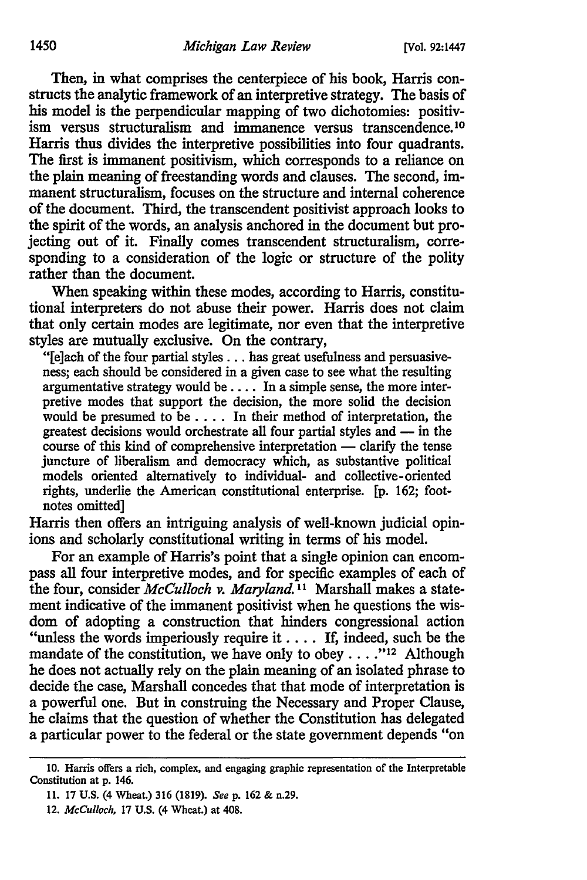Then, in what comprises the centerpiece of his book, Harris constructs the analytic framework of an interpretive strategy. The basis of his model is the perpendicular mapping of two dichotomies: positivism versus structuralism and immanence versus transcendence.<sup>10</sup> Harris thus divides the interpretive possibilities into four quadrants. The first is immanent positivism, which corresponds to a reliance on the plain meaning of freestanding words and clauses. The second, immanent structuralism, focuses on the structure and internal coherence of the document. Third, the transcendent positivist approach looks to the spirit of the words, an analysis anchored in the document but projecting out of it. Finally comes transcendent structuralism, corresponding to a consideration of the logic or structure of the polity rather than the document.

When speaking within these modes, according to Harris, constitutional interpreters do not abuse their power. Harris does not claim that only certain modes are legitimate, nor even that the interpretive styles are mutually exclusive. On the contrary,

"[e]ach of the four partial styles . . . has great usefulness and persuasiveness; each should be considered in a given case to see what the resulting argumentative strategy would be  $\dots$ . In a simple sense, the more interpretive modes that support the decision, the more solid the decision would be presumed to be . . . . In their method of interpretation, the greatest decisions would orchestrate all four partial styles and — in the  $course$  of this kind of comprehensive interpretation  $-$  clarify the tense juncture of liberalism and democracy which, as substantive political models oriented alternatively to individual- and collective-oriented rights, underlie the American constitutional enterprise. [p. 162; footnotes omitted]

Harris then offers an intriguing analysis of well-known judicial opinions and scholarly constitutional writing in terms of his model.

For an example of Harris's point that a single opinion can encompass all four interpretive modes, and for specific examples of each of the four, consider *McCulloch v. Maryland.* 11 Marshall makes a statement indicative of the immanent positivist when he questions the wisdom of adopting a construction that hinders congressional action "unless the words imperiously require it . . . . If, indeed, such be the mandate of the constitution, we have only to obey  $\dots$ ."<sup>12</sup> Although he does not actually rely on the plain meaning of an isolated phrase to decide the case, Marshall concedes that that mode of interpretation is a powerful one. But in construing the Necessary and Proper Clause, he claims that the question of whether the Constitution has delegated a particular power to the federal or the state government depends "on

<sup>10.</sup> Harris offers a rich, complex, and engaging graphic representation of the Interpretable Constitution at p. 146.

<sup>11. 17</sup> U.S. (4 Wheat.) 316 (1819). *Seep.* 162 & n.29.

<sup>12.</sup> *McCulloch,* 17 U.S. (4 Wheat.) at 408.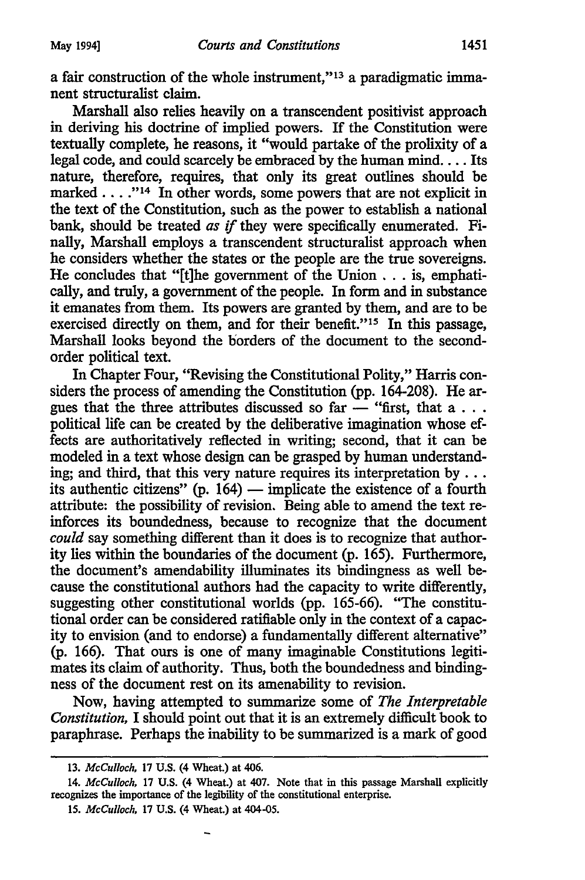a fair construction of the whole instrument,"<sup>13</sup> a paradigmatic immanent structuralist claim.

Marshall also relies heavily on a transcendent positivist approach in deriving his doctrine of implied powers. If the Constitution were textually complete, he reasons, it "would partake of the prolixity of a legal code, and could scarcely be embraced by the human mind.... Its nature, therefore, requires, that only its great outlines should be marked . . . .<sup>''14</sup> In other words, some powers that are not explicit in the text of the Constitution, such as the power to establish a national bank, should be treated *as* if they were specifically enumerated. Finally, Marshall employs a transcendent structuralist approach when he considers whether the states or the people are the true sovereigns. He concludes that "[t]he government of the Union ... is, emphatically, and truly, a government of the people. In form and in substance it emanates from them. Its powers are granted by them, and are to be exercised directly on them, and for their benefit."<sup>15</sup> In this passage, Marshall looks beyond the borders of the document to the secondorder political text.

In Chapter Four, "Revising the Constitutional Polity," Harris considers the process of amending the Constitution (pp. 164-208). Heargues that the three attributes discussed so far  $-$  "first, that a . . . political life can be created by the deliberative imagination whose effects are authoritatively reflected in writing; second, that it can be modeled in a text whose design can be grasped by human understanding; and third, that this very nature requires its interpretation by  $\dots$ its authentic citizens" (p.  $164$ ) - implicate the existence of a fourth attribute: the possibility of revision. Being able to amend the text reinforces its boundedness, because to recognize that the document *could* say something different than it does is to recognize that authority lies within the boundaries of the document (p. 165). Furthermore, the document's amendability illuminates its bindingness as well because the constitutional authors had the capacity to write differently, suggesting other constitutional worlds (pp. 165-66). "The constitutional order can be considered ratifiable only in the context of a capacity to envision (and to endorse) a fundamentally different alternative" (p. 166). That ours is one of many imaginable Constitutions legitimates its claim of authority. Thus, both the boundedness and bindingness of the document rest on its amenability to revision.

Now, having attempted to summarize some of *The Interpretable Constitution,* I should point out that it is an extremely difficult book to paraphrase. Perhaps the inability to be summarized is a mark of good

<sup>13.</sup> *McCulloch,* 17 U.S. (4 Wheat.) at 406.

<sup>14.</sup> *McCulloch,* 17 U.S. (4 Wheat.) at 407. Note that in this passage Marshall explicitly recognizes the importance of the legibility of the constitutional enterprise.

<sup>15.</sup> *McCulloch,* 17 U.S. (4 Wheat.) at 404-05.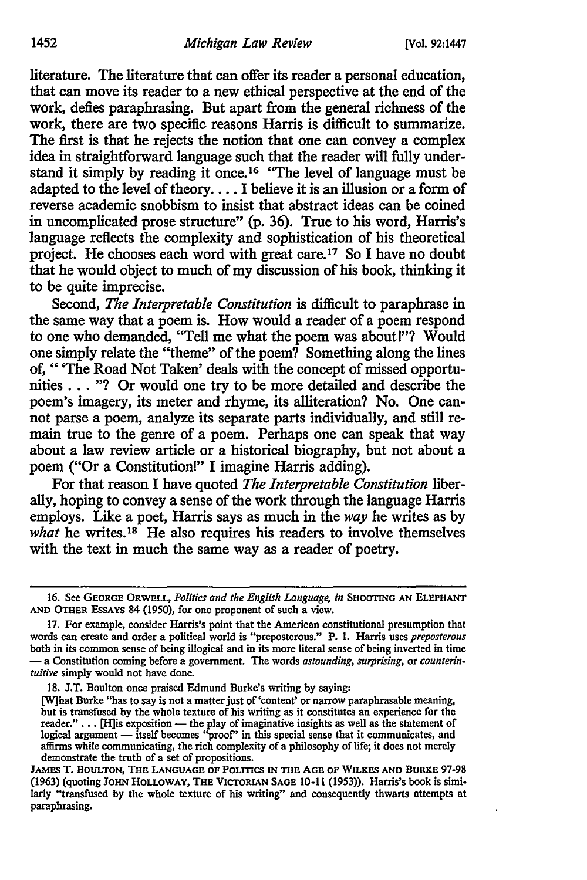literature. The literature that can offer its reader a personal education, that can move its reader to a new ethical perspective at the end of the work, defies paraphrasing. But apart from the general richness of the work, there are two specific reasons Harris is difficult to summarize. The first is that he rejects the notion that one can convey a complex idea in straightforward language such that the reader will fully understand it simply by reading it once.<sup>16</sup> "The level of language must be adapted to the level of theory.... I believe it is an illusion or a form of reverse academic snobbism to insist that abstract ideas can be coined in uncomplicated prose structure" (p. 36). True to his word, Harris's language reflects the complexity and sophistication of his theoretical project. He chooses each word with great care.17 So I have no doubt that he would object to much of my discussion of his book, thinking it to be quite imprecise.

Second, *The Interpretable Constitution* is difficult to paraphrase in the same way that a poem is. How would a reader of a poem respond to one who demanded, "Tell me what the poem was about!"? Would one simply relate the "theme" of the poem? Something along the lines of, " 'The Road Not Taken' deals with the concept of missed opportunities ... "? Or would one try to be more detailed and describe the poem's imagery, its meter and rhyme, its alliteration? No. One cannot parse a poem, analyze its separate parts individually, and still remain true to the genre of a poem. Perhaps one can speak that way about a law review article or a historical biography, but not about a poem ("Or a Constitution!" I imagine Harris adding).

For that reason I have quoted *The Interpretable Constitution* liberally, hoping to convey a sense of the work through the language Harris employs. Like a poet, Harris says as much in the *way* he writes as by *what* he writes.<sup>18</sup> He also requires his readers to involve themselves with the text in much the same way as a reader of poetry.

18. J.T. Boulton once praised Edmund Burke's writing by saying:

<sup>16.</sup> See GEORGE ORWELL, *Politics and the English Language, in* SHOOTING AN ELEPHANT AND OTHER EssAYS 84 (1950), for one proponent of such a view.

<sup>17.</sup> For example, consider Harris's point that the American constitutional presumption that words can create and order a political world is "preposterous." P. 1. Harris uses *preposterous*  both in its common sense of being illogical and in its more literal sense of being inverted in time - a Constitution coming before a government. The words *astounding, surprising,* or *counterintuitive* simply would not have done.

<sup>[</sup>W]hat Burke "has to say is not a matter just of 'content' or narrow paraphrasable meaning, but is transfused by the whole texture of his writing as it constitutes an experience for the out is causated of the play of imaginative insights as well as the statement of indicate."... [H] is exposition — the play of imaginative insights as well as the statement of logical argument — itself becomes "proof" in th affirms while communicating, the rich complexity of a philosophy of life; it does not merely demonstrate the truth of a set of propositions.

JAMES T. BOULTON, THE LANGUAGE OF POLITICS IN THE AGE OF WILKES AND BURKE 97-98 (1963) (quoting JOHN HOLLOWAY, THE VICTORIAN SAGE 10-11 (1953)). Harris's book is similarly "transfused by the whole texture of his writing" and consequently thwarts attempts at paraphrasing.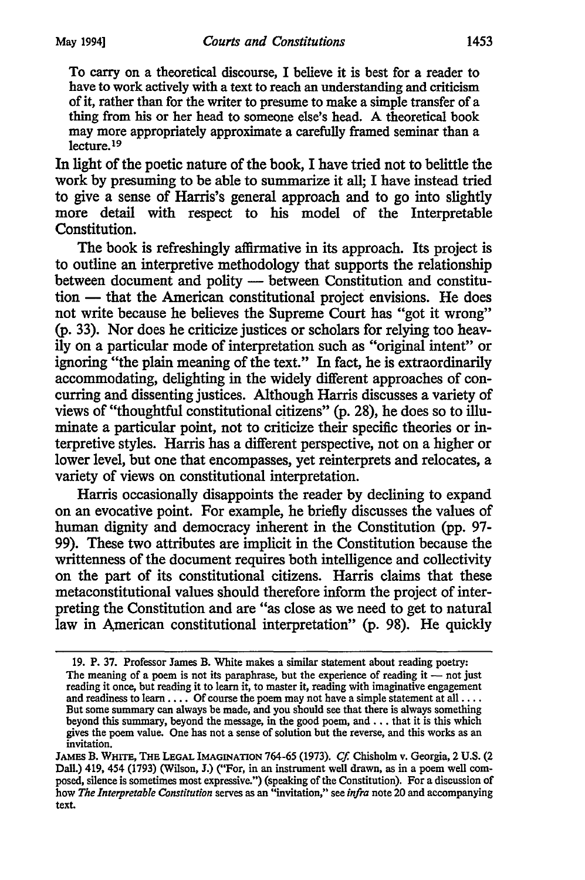To carry on a theoretical discourse, I believe it is best for a reader to have to work actively with a text to reach an understanding and criticism of it, rather than for the writer to presume to make a simple transfer of a thing from his or her head to someone else's head. A theoretical book may more appropriately approximate a carefully framed seminar than a lecture.19

In light of the poetic nature of the book, I have tried not to belittle the work by presuming to be able to summarize it all; I have instead tried to give a sense of Harris's general approach and to go into slightly more detail with respect to his model of the Interpretable Constitution.

The book is refreshingly affirmative in its approach. Its project is to outline an interpretive methodology that supports the relationship between document and polity - between Constitution and constitution - that the American constitutional project envisions. He does not write because he believes the Supreme Court has "got it wrong" (p. 33). Nor does he criticize justices or scholars for relying too heavily on a particular mode of interpretation such as "original intent" or ignoring "the plain meaning of the text." In fact, he is extraordinarily accommodating, delighting in the widely different approaches of concurring and dissenting justices. Although Harris discusses a variety of views of "thoughtful constitutional citizens" (p. 28), he does so to illuminate a particular point, not to criticize their specific theories or interpretive styles. Harris has a different perspective, not on a higher or lower level, but one that encompasses, yet reinterprets and relocates, a variety of views on constitutional interpretation.

Harris occasionally disappoints the reader by declining to expand on an evocative point. For example, he briefly discusses the values of human dignity and democracy inherent in the Constitution (pp. 97-99). These two attributes are implicit in the Constitution because the writtenness of the document requires both intelligence and collectivity on the part of its constitutional citizens. Harris claims that these metaconstitutional values should therefore inform the project of interpreting the Constitution and are "as close as we need to get to natural law in American constitutional interpretation" (p. 98). He quickly

<sup>19.</sup> P. 37. Professor James B. White makes a similar statement about reading poetry: The meaning of a poem is not its paraphrase, but the experience of reading it  $-$  not just reading it once, but reading it to learn it, to master it, reading with imaginative engagement and readiness to learn . . . . Of course the poem may not have a simple statement at all . . . . But some summary can always be made, and you should see that there is always something beyond this summary, beyond the message, in the good poem, and ... that it is this which gives the poem value. One has not a sense of solution but the reverse, and this works as an invitation.

JAMES B. WHITE, THE LEGAL IMAGINATION 764-65 (1973). *Cf.* Chisholm v. Georgia, 2 U.S. (2 Dall.) 419, 454 (1793) (Wilson, J.) ("For, in an instrument well drawn, as in a poem well composed, silence is sometimes most expressive.") (speaking of the Constitution). For a discussion of how *The Interpretable Constitution* serves as an "invitation," see *infra* note 20 and accompanying text.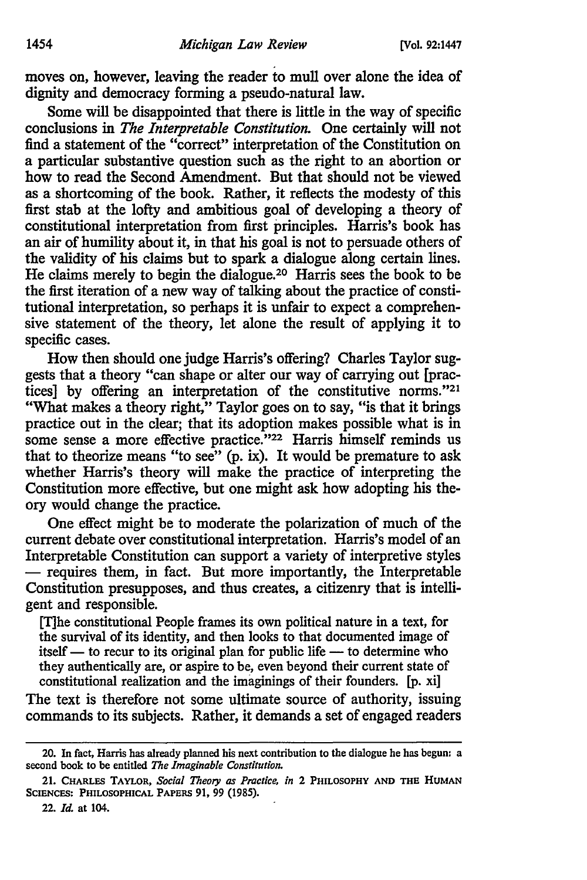moves on, however, leaving the reader to mull over alone the idea of dignity and democracy forming a pseudo-natural law.

Some will be disappointed that there is little in the way of specific conclusions in *The Interpretable Constitution.* One certainly will not find a statement of the "correct" interpretation of the Constitution on a particular substantive question such as the right to an abortion or how to read the Second Amendment. But that should not be viewed as a shortcoming of the book. Rather, it reflects the modesty of this first stab at the lofty and ambitious goal of developing a theory of constitutional interpretation from first principles. Harris's book has an air of humility about it, in that his goal is not to persuade others of the validity of his claims but to spark a dialogue along certain lines. He claims merely to begin the dialogue.20 Harris sees the book to be the first iteration of a new way of talking about the practice of constitutional interpretation, so perhaps it is unfair to expect a comprehensive statement of the theory, let alone the result of applying it to specific cases.

How then should one judge Harris's offering? Charles Taylor suggests that a theory "can shape or alter our way of carrying out [practices] by offering an interpretation of the constitutive norms."<sup>21</sup> "What makes a theory right," Taylor goes on to say, "is that it brings practice out in the clear; that its adoption makes possible what is in some sense a more effective practice."<sup>22</sup> Harris himself reminds us that to theorize means "to see" (p. ix). It would be premature to ask whether Harris's theory will make the practice of interpreting the Constitution more effective, but one might ask how adopting his theory would change the practice.

One effect might be to moderate the polarization of much of the current debate over constitutional interpretation. Harris's model of an Interpretable Constitution can support a variety of interpretive styles  $-$  requires them, in fact. But more importantly, the Interpretable Constitution presupposes, and thus creates, a citizenry that is intelligent and responsible.

[T]he constitutional People frames its own political nature in a text, for the survival of its identity, and then looks to that documented image of  $itself$  — to recur to its original plan for public life — to determine who they authentically are, or aspire to be, even beyond their current state of constitutional realization and the imaginings of their founders. [p. xi]

The text is therefore not some ultimate source of authority, issuing commands to its subjects. Rather, it demands a set of engaged readers

<sup>20.</sup> In fact, Harris has already planned his next contribution to the dialogue he has begun: a second book to be entitled *The Imaginable Constitution.* 

<sup>21.</sup> CHARLES TAYLOR, *Social Theory as Practice, in* 2 PHILOSOPHY AND THE HUMAN SCIENCES: PHILOSOPHICAL PAPERS 91, 99 (1985).

<sup>22.</sup> *Id.* at 104.